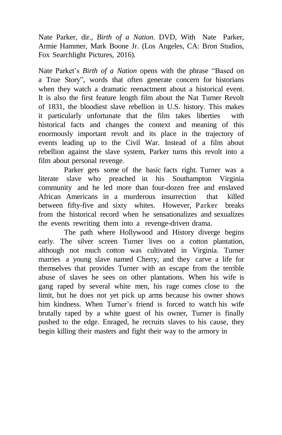Nate Parker, dir., *Birth of a Nation.* DVD, With Nate Parker, Armie Hammer, Mark Boone Jr. (Los Angeles, CA: Bron Studios, Fox Searchlight Pictures, 2016).

Nate Parket's *Birth of a Nation* opens with the phrase "Based on a True Story", words that often generate concern for historians when they watch a dramatic reenactment about a historical event. It is also the first feature length film about the Nat Turner Revolt of 1831, the bloodiest slave rebellion in U.S. history. This makes it particularly unfortunate that the film takes liberties with historical facts and changes the context and meaning of this enormously important revolt and its place in the trajectory of events leading up to the Civil War. Instead of a film about rebellion against the slave system, Parker turns this revolt into a film about personal revenge.

Parker gets some of the basic facts right. Turner was a literate slave who preached in his Southampton Virginia community and he led more than four-dozen free and enslaved African Americans in a murderous insurrection that killed between fifty-five and sixty whites. However, Parker breaks from the historical record when he sensationalizes and sexualizes the events rewriting them into a revenge-driven drama.

The path where Hollywood and History diverge begins early. The silver screen Turner lives on a cotton plantation, although not much cotton was cultivated in Virginia. Turner marries a young slave named Cherry, and they carve a life for themselves that provides Turner with an escape from the terrible abuse of slaves he sees on other plantations. When his wife is gang raped by several white men, his rage comes close to the limit, but he does not yet pick up arms because his owner shows him kindness. When Turner's friend is forced to watch his wife brutally raped by a white guest of his owner, Turner is finally pushed to the edge. Enraged, he recruits slaves to his cause, they begin killing their masters and fight their way to the armory in